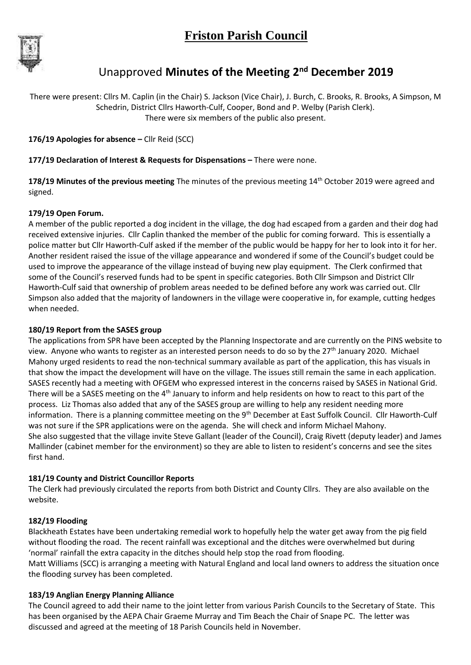

# Unapproved **Minutes of the Meeting 2nd December 2019**

There were present: Cllrs M. Caplin (in the Chair) S. Jackson (Vice Chair), J. Burch, C. Brooks, R. Brooks, A Simpson, M Schedrin, District Cllrs Haworth-Culf, Cooper, Bond and P. Welby (Parish Clerk). There were six members of the public also present.

**176/19 Apologies for absence –** Cllr Reid (SCC)

# **177/19 Declaration of Interest & Requests for Dispensations –** There were none.

**178/19 Minutes of the previous meeting** The minutes of the previous meeting 14th October 2019 were agreed and signed.

# **179/19 Open Forum.**

A member of the public reported a dog incident in the village, the dog had escaped from a garden and their dog had received extensive injuries. Cllr Caplin thanked the member of the public for coming forward. This is essentially a police matter but Cllr Haworth-Culf asked if the member of the public would be happy for her to look into it for her. Another resident raised the issue of the village appearance and wondered if some of the Council's budget could be used to improve the appearance of the village instead of buying new play equipment. The Clerk confirmed that some of the Council's reserved funds had to be spent in specific categories. Both Cllr Simpson and District Cllr Haworth-Culf said that ownership of problem areas needed to be defined before any work was carried out. Cllr Simpson also added that the majority of landowners in the village were cooperative in, for example, cutting hedges when needed.

#### **180/19 Report from the SASES group**

The applications from SPR have been accepted by the Planning Inspectorate and are currently on the PINS website to view. Anyone who wants to register as an interested person needs to do so by the 27<sup>th</sup> January 2020. Michael Mahony urged residents to read the non-technical summary available as part of the application, this has visuals in that show the impact the development will have on the village. The issues still remain the same in each application. SASES recently had a meeting with OFGEM who expressed interest in the concerns raised by SASES in National Grid. There will be a SASES meeting on the 4<sup>th</sup> January to inform and help residents on how to react to this part of the process. Liz Thomas also added that any of the SASES group are willing to help any resident needing more information. There is a planning committee meeting on the 9<sup>th</sup> December at East Suffolk Council. Cllr Haworth-Culf was not sure if the SPR applications were on the agenda. She will check and inform Michael Mahony. She also suggested that the village invite Steve Gallant (leader of the Council), Craig Rivett (deputy leader) and James Mallinder (cabinet member for the environment) so they are able to listen to resident's concerns and see the sites first hand.

# **181/19 County and District Councillor Reports**

The Clerk had previously circulated the reports from both District and County Cllrs. They are also available on the website.

# **182/19 Flooding**

Blackheath Estates have been undertaking remedial work to hopefully help the water get away from the pig field without flooding the road. The recent rainfall was exceptional and the ditches were overwhelmed but during 'normal' rainfall the extra capacity in the ditches should help stop the road from flooding. Matt Williams (SCC) is arranging a meeting with Natural England and local land owners to address the situation once the flooding survey has been completed.

# **183/19 Anglian Energy Planning Alliance**

The Council agreed to add their name to the joint letter from various Parish Councils to the Secretary of State. This has been organised by the AEPA Chair Graeme Murray and Tim Beach the Chair of Snape PC. The letter was discussed and agreed at the meeting of 18 Parish Councils held in November.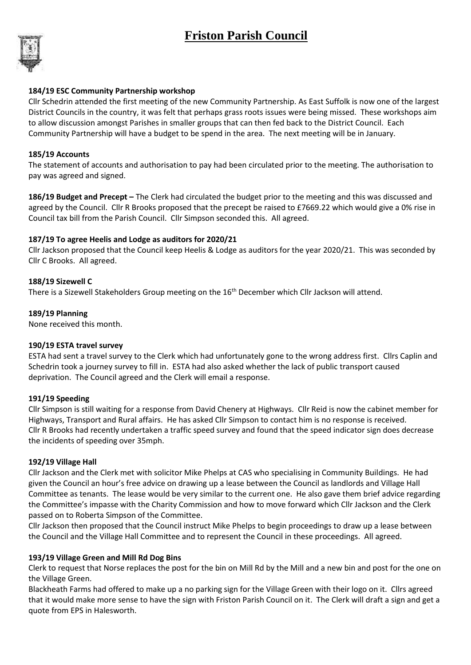# **Friston Parish Council**



# **184/19 ESC Community Partnership workshop**

Cllr Schedrin attended the first meeting of the new Community Partnership. As East Suffolk is now one of the largest District Councils in the country, it was felt that perhaps grass roots issues were being missed. These workshops aim to allow discussion amongst Parishes in smaller groups that can then fed back to the District Council. Each Community Partnership will have a budget to be spend in the area. The next meeting will be in January.

# **185/19 Accounts**

The statement of accounts and authorisation to pay had been circulated prior to the meeting. The authorisation to pay was agreed and signed.

**186/19 Budget and Precept –** The Clerk had circulated the budget prior to the meeting and this was discussed and agreed by the Council. Cllr R Brooks proposed that the precept be raised to £7669.22 which would give a 0% rise in Council tax bill from the Parish Council. Cllr Simpson seconded this. All agreed.

# **187/19 To agree Heelis and Lodge as auditors for 2020/21**

Cllr Jackson proposed that the Council keep Heelis & Lodge as auditors for the year 2020/21. This was seconded by Cllr C Brooks. All agreed.

# **188/19 Sizewell C**

There is a Sizewell Stakeholders Group meeting on the 16<sup>th</sup> December which Cllr Jackson will attend.

# **189/19 Planning**

None received this month.

#### **190/19 ESTA travel survey**

ESTA had sent a travel survey to the Clerk which had unfortunately gone to the wrong address first. Cllrs Caplin and Schedrin took a journey survey to fill in. ESTA had also asked whether the lack of public transport caused deprivation. The Council agreed and the Clerk will email a response.

#### **191/19 Speeding**

Cllr Simpson is still waiting for a response from David Chenery at Highways. Cllr Reid is now the cabinet member for Highways, Transport and Rural affairs. He has asked Cllr Simpson to contact him is no response is received. Cllr R Brooks had recently undertaken a traffic speed survey and found that the speed indicator sign does decrease the incidents of speeding over 35mph.

#### **192/19 Village Hall**

Cllr Jackson and the Clerk met with solicitor Mike Phelps at CAS who specialising in Community Buildings. He had given the Council an hour's free advice on drawing up a lease between the Council as landlords and Village Hall Committee as tenants. The lease would be very similar to the current one. He also gave them brief advice regarding the Committee's impasse with the Charity Commission and how to move forward which Cllr Jackson and the Clerk passed on to Roberta Simpson of the Committee.

Cllr Jackson then proposed that the Council instruct Mike Phelps to begin proceedings to draw up a lease between the Council and the Village Hall Committee and to represent the Council in these proceedings. All agreed.

# **193/19 Village Green and Mill Rd Dog Bins**

Clerk to request that Norse replaces the post for the bin on Mill Rd by the Mill and a new bin and post for the one on the Village Green.

Blackheath Farms had offered to make up a no parking sign for the Village Green with their logo on it. Cllrs agreed that it would make more sense to have the sign with Friston Parish Council on it. The Clerk will draft a sign and get a quote from EPS in Halesworth.